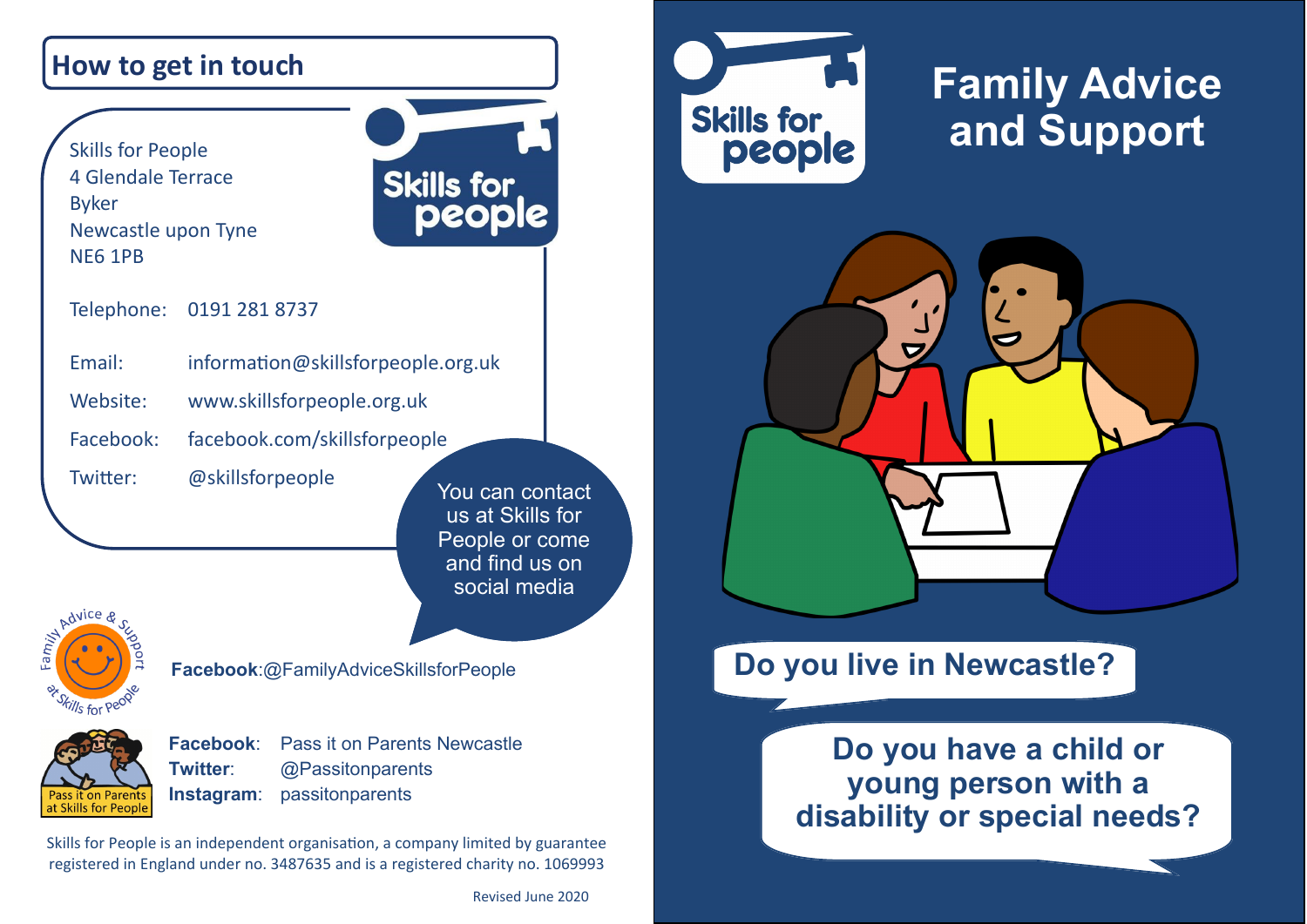### **How to get in touch**

Skills for People 4 Glendale Terrace Byker Newcastle upon Tyne NE6 1PB



Telephone: 0191 281 8737

| Email:    | information@skillsforpeople.org.uk |
|-----------|------------------------------------|
| Website:  | www.skillsforpeople.org.uk         |
| Facebook: | facebook.com/skillsforpeople       |

Twitter: [@skillsforpeople](http://www.twitter.com/skillsforpeople)

You can contact us at Skills for People or come and find us on social media

Advice

**Facebook**:@FamilyAdviceSkillsforPeople



**Facebook**: [Pass it on Parents Newcastle](https://www.facebook.com/groups/passitonnewcastle/) **Twitter**: @Passitonparents **Instagram**: passitonparents

Skills for People is an independent organisation, a company limited by guarantee registered in England under no. 3487635 and is a registered charity no. 1069993



# **Family Advice and Support**



## **Do you live in Newcastle?**

**Do you have a child or young person with a disability or special needs?**